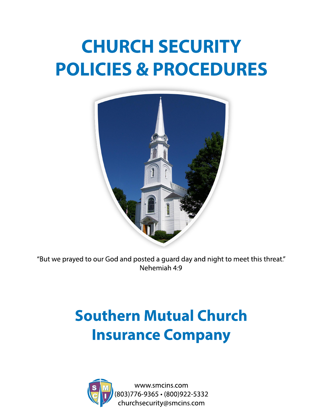# **CHURCHSECURITY POLICIES&PROCEDURES**



"But we prayed to our God and posted a guard day and night to meet this threat." Nehemiah 4:9

## **Southern Mutual Church Insurance Company**



www.smcins.com (803)776-9365•(800)922-5332 churchsecurity@smcins.com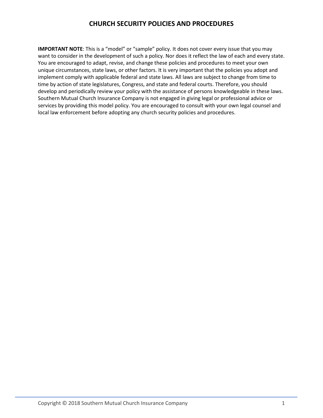**IMPORTANT NOTE:** This is a "model" or "sample" policy. It does not cover every issue that you may want to consider in the development of such a policy. Nor does it reflect the law of each and every state. You are encouraged to adapt, revise, and change these policies and procedures to meet your own unique circumstances, state laws, or other factors. It is very important that the policies you adopt and implement comply with applicable federal and state laws. All laws are subject to change from time to time by action of state legislatures, Congress, and state and federal courts. Therefore, you should develop and periodically review your policy with the assistance of persons knowledgeable in these laws. Southern Mutual Church Insurance Company is not engaged in giving legal or professional advice or services by providing this model policy. You are encouraged to consult with your own legal counsel and local law enforcement before adopting any church security policies and procedures.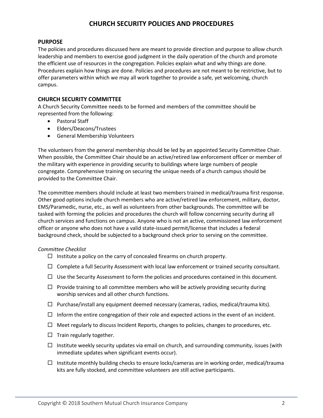#### **PURPOSE**

The policies and procedures discussed here are meant to provide direction and purpose to allow church leadership and members to exercise good judgment in the daily operation of the church and promote the efficient use of resources in the congregation. Policies explain what and why things are done. Procedures explain how things are done. Policies and procedures are not meant to be restrictive, but to offer parameters within which we may all work together to provide a safe, yet welcoming, church campus.

#### **CHURCH SECURITY COMMITTEE**

A Church Security Committee needs to be formed and members of the committee should be represented from the following:

- Pastoral Staff
- Elders/Deacons/Trustees
- General Membership Volunteers

The volunteers from the general membership should be led by an appointed Security Committee Chair. When possible, the Committee Chair should be an active/retired law enforcement officer or member of the military with experience in providing security to buildings where large numbers of people congregate. Comprehensive training on securing the unique needs of a church campus should be provided to the Committee Chair.

The committee members should include at least two members trained in medical/trauma first response. Other good options include church members who are active/retired law enforcement, military, doctor, EMS/Paramedic, nurse, etc., as well as volunteers from other backgrounds. The committee will be tasked with forming the policies and procedures the church will follow concerning security during all church services and functions on campus. Anyone who is not an active, commissioned law enforcement officer or anyone who does not have a valid state-issued permit/license that includes a federal background check, should be subjected to a background check prior to serving on the committee.

#### *Committee Checklist*

- $\Box$  Institute a policy on the carry of concealed firearms on church property.
- $\Box$  Complete a full Security Assessment with local law enforcement or trained security consultant.
- $\Box$  Use the Security Assessment to form the policies and procedures contained in this document.
- $\Box$  Provide training to all committee members who will be actively providing security during worship services and all other church functions.
- $\Box$  Purchase/install any equipment deemed necessary (cameras, radios, medical/trauma kits).
- $\Box$  Inform the entire congregation of their role and expected actions in the event of an incident.
- $\Box$  Meet regularly to discuss Incident Reports, changes to policies, changes to procedures, etc.
- $\Box$  Train regularly together.
- $\Box$  Institute weekly security updates via email on church, and surrounding community, issues (with immediate updates when significant events occur).
- $\Box$  Institute monthly building checks to ensure locks/cameras are in working order, medical/trauma kits are fully stocked, and committee volunteers are still active participants.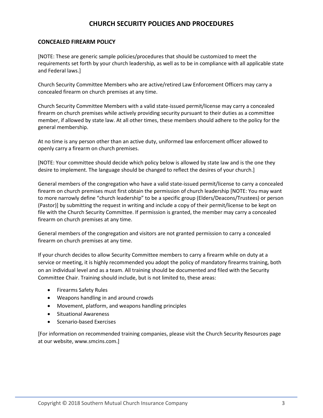#### **CONCEALED FIREARM POLICY**

[NOTE: These are generic sample policies/procedures that should be customized to meet the requirements set forth by your church leadership, as well as to be in compliance with all applicable state and Federal laws.]

Church Security Committee Members who are active/retired Law Enforcement Officers may carry a concealed firearm on church premises at any time.

Church Security Committee Members with a valid state-issued permit/license may carry a concealed firearm on church premises while actively providing security pursuant to their duties as a committee member, if allowed by state law. At all other times, these members should adhere to the policy for the general membership.

At no time is any person other than an active duty, uniformed law enforcement officer allowed to openly carry a firearm on church premises.

[NOTE: Your committee should decide which policy below is allowed by state law and is the one they desire to implement. The language should be changed to reflect the desires of your church.]

General members of the congregation who have a valid state-issued permit/license to carry a concealed firearm on church premises must first obtain the permission of church leadership [NOTE: You may want to more narrowly define "church leadership" to be a specific group (Elders/Deacons/Trustees) or person (Pastor)] by submitting the request in writing and include a copy of their permit/license to be kept on file with the Church Security Committee. If permission is granted, the member may carry a concealed firearm on church premises at any time.

General members of the congregation and visitors are not granted permission to carry a concealed firearm on church premises at any time.

If your church decides to allow Security Committee members to carry a firearm while on duty at a service or meeting, it is highly recommended you adopt the policy of mandatory firearms training, both on an individual level and as a team. All training should be documented and filed with the Security Committee Chair. Training should include, but is not limited to, these areas:

- Firearms Safety Rules
- Weapons handling in and around crowds
- Movement, platform, and weapons handling principles
- Situational Awareness
- Scenario-based Exercises

[For information on recommended training companies, please visit the Church Security Resources page at our website, www.smcins.com.]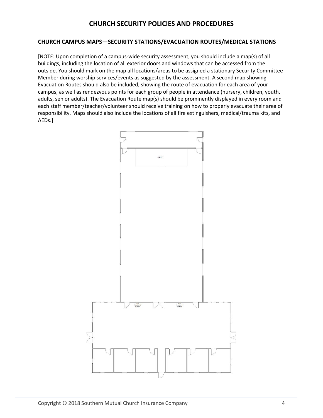#### **CHURCH CAMPUS MAPS—SECURITY STATIONS/EVACUATION ROUTES/MEDICAL STATIONS**

[NOTE: Upon completion of a campus-wide security assessment, you should include a map(s) of all buildings, including the location of all exterior doors and windows that can be accessed from the outside. You should mark on the map all locations/areas to be assigned a stationary Security Committee Member during worship services/events as suggested by the assessment. A second map showing Evacuation Routes should also be included, showing the route of evacuation for each area of your campus, as well as rendezvous points for each group of people in attendance (nursery, children, youth, adults, senior adults). The Evacuation Route map(s) should be prominently displayed in every room and each staff member/teacher/volunteer should receive training on how to properly evacuate their area of responsibility. Maps should also include the locations of all fire extinguishers, medical/trauma kits, and AEDs.]

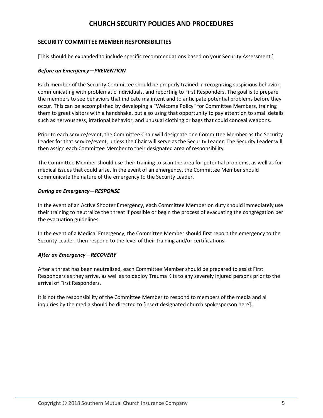#### **SECURITY COMMITTEE MEMBER RESPONSIBILITIES**

[This should be expanded to include specific recommendations based on your Security Assessment.]

#### *Before an Emergency—PREVENTION*

Each member of the Security Committee should be properly trained in recognizing suspicious behavior, communicating with problematic individuals, and reporting to First Responders. The goal is to prepare the members to see behaviors that indicate malintent and to anticipate potential problems before they occur. This can be accomplished by developing a "Welcome Policy" for Committee Members, training them to greet visitors with a handshake, but also using that opportunity to pay attention to small details such as nervousness, irrational behavior, and unusual clothing or bags that could conceal weapons.

Prior to each service/event, the Committee Chair will designate one Committee Member as the Security Leader for that service/event, unless the Chair will serve as the Security Leader. The Security Leader will then assign each Committee Member to their designated area of responsibility.

The Committee Member should use their training to scan the area for potential problems, as well as for medical issues that could arise. In the event of an emergency, the Committee Member should communicate the nature of the emergency to the Security Leader.

#### *During an Emergency—RESPONSE*

In the event of an Active Shooter Emergency, each Committee Member on duty should immediately use their training to neutralize the threat if possible or begin the process of evacuating the congregation per the evacuation guidelines.

In the event of a Medical Emergency, the Committee Member should first report the emergency to the Security Leader, then respond to the level of their training and/or certifications.

#### *After an Emergency—RECOVERY*

After a threat has been neutralized, each Committee Member should be prepared to assist First Responders as they arrive, as well as to deploy Trauma Kits to any severely injured persons prior to the arrival of First Responders.

It is not the responsibility of the Committee Member to respond to members of the media and all inquiries by the media should be directed to [insert designated church spokesperson here].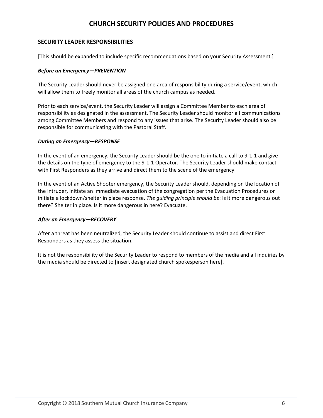#### **SECURITY LEADER RESPONSIBILITIES**

[This should be expanded to include specific recommendations based on your Security Assessment.]

#### *Before an Emergency—PREVENTION*

The Security Leader should never be assigned one area of responsibility during a service/event, which will allow them to freely monitor all areas of the church campus as needed.

Prior to each service/event, the Security Leader will assign a Committee Member to each area of responsibility as designated in the assessment. The Security Leader should monitor all communications among Committee Members and respond to any issues that arise. The Security Leader should also be responsible for communicating with the Pastoral Staff.

#### *During an Emergency—RESPONSE*

In the event of an emergency, the Security Leader should be the one to initiate a call to 9-1-1 and give the details on the type of emergency to the 9-1-1 Operator. The Security Leader should make contact with First Responders as they arrive and direct them to the scene of the emergency.

In the event of an Active Shooter emergency, the Security Leader should, depending on the location of the intruder, initiate an immediate evacuation of the congregation per the Evacuation Procedures or initiate a lockdown/shelter in place response. *The guiding principle should be*: Is it more dangerous out there? Shelter in place. Is it more dangerous in here? Evacuate.

#### *After an Emergency—RECOVERY*

After a threat has been neutralized, the Security Leader should continue to assist and direct First Responders as they assess the situation.

It is not the responsibility of the Security Leader to respond to members of the media and all inquiries by the media should be directed to [insert designated church spokesperson here].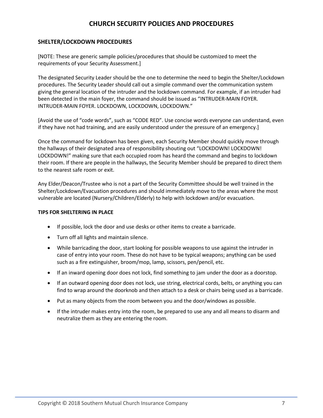#### **SHELTER/LOCKDOWN PROCEDURES**

[NOTE: These are generic sample policies/procedures that should be customized to meet the requirements of your Security Assessment.]

The designated Security Leader should be the one to determine the need to begin the Shelter/Lockdown procedures. The Security Leader should call out a simple command over the communication system giving the general location of the intruder and the lockdown command. For example, if an intruder had been detected in the main foyer, the command should be issued as "INTRUDER-MAIN FOYER. INTRUDER-MAIN FOYER. LOCKDOWN, LOCKDOWN, LOCKDOWN."

[Avoid the use of "code words", such as "CODE RED". Use concise words everyone can understand, even if they have not had training, and are easily understood under the pressure of an emergency.]

Once the command for lockdown has been given, each Security Member should quickly move through the hallways of their designated area of responsibility shouting out "LOCKDOWN! LOCKDOWN! LOCKDOWN!" making sure that each occupied room has heard the command and begins to lockdown their room. If there are people in the hallways, the Security Member should be prepared to direct them to the nearest safe room or exit.

Any Elder/Deacon/Trustee who is not a part of the Security Committee should be well trained in the Shelter/Lockdown/Evacuation procedures and should immediately move to the areas where the most vulnerable are located (Nursery/Children/Elderly) to help with lockdown and/or evacuation.

#### **TIPS FOR SHELTERING IN PLACE**

- If possible, lock the door and use desks or other items to create a barricade.
- Turn off all lights and maintain silence.
- While barricading the door, start looking for possible weapons to use against the intruder in case of entry into your room. These do not have to be typical weapons; anything can be used such as a fire extinguisher, broom/mop, lamp, scissors, pen/pencil, etc.
- If an inward opening door does not lock, find something to jam under the door as a doorstop.
- If an outward opening door does not lock, use string, electrical cords, belts, or anything you can find to wrap around the doorknob and then attach to a desk or chairs being used as a barricade.
- Put as many objects from the room between you and the door/windows as possible.
- If the intruder makes entry into the room, be prepared to use any and all means to disarm and neutralize them as they are entering the room.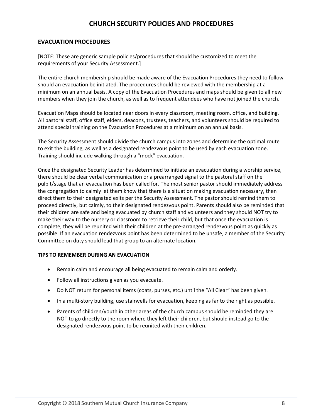#### **EVACUATION PROCEDURES**

[NOTE: These are generic sample policies/procedures that should be customized to meet the requirements of your Security Assessment.]

The entire church membership should be made aware of the Evacuation Procedures they need to follow should an evacuation be initiated. The procedures should be reviewed with the membership at a minimum on an annual basis. A copy of the Evacuation Procedures and maps should be given to all new members when they join the church, as well as to frequent attendees who have not joined the church.

Evacuation Maps should be located near doors in every classroom, meeting room, office, and building. All pastoral staff, office staff, elders, deacons, trustees, teachers, and volunteers should be required to attend special training on the Evacuation Procedures at a minimum on an annual basis.

The Security Assessment should divide the church campus into zones and determine the optimal route to exit the building, as well as a designated rendezvous point to be used by each evacuation zone. Training should include walking through a "mock" evacuation.

Once the designated Security Leader has determined to initiate an evacuation during a worship service, there should be clear verbal communication or a prearranged signal to the pastoral staff on the pulpit/stage that an evacuation has been called for. The most senior pastor should immediately address the congregation to calmly let them know that there is a situation making evacuation necessary, then direct them to their designated exits per the Security Assessment. The pastor should remind them to proceed directly, but calmly, to their designated rendezvous point. Parents should also be reminded that their children are safe and being evacuated by church staff and volunteers and they should NOT try to make their way to the nursery or classroom to retrieve their child, but that once the evacuation is complete, they will be reunited with their children at the pre-arranged rendezvous point as quickly as possible. If an evacuation rendezvous point has been determined to be unsafe, a member of the Security Committee on duty should lead that group to an alternate location.

#### **TIPS TO REMEMBER DURING AN EVACUATION**

- Remain calm and encourage all being evacuated to remain calm and orderly.
- Follow all instructions given as you evacuate.
- Do NOT return for personal items (coats, purses, etc.) until the "All Clear" has been given.
- In a multi-story building, use stairwells for evacuation, keeping as far to the right as possible.
- Parents of children/youth in other areas of the church campus should be reminded they are NOT to go directly to the room where they left their children, but should instead go to the designated rendezvous point to be reunited with their children.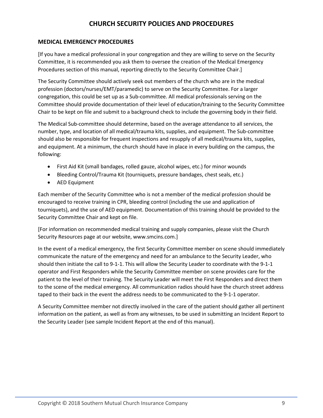#### **MEDICAL EMERGENCY PROCEDURES**

[If you have a medical professional in your congregation and they are willing to serve on the Security Committee, it is recommended you ask them to oversee the creation of the Medical Emergency Procedures section of this manual, reporting directly to the Security Committee Chair.]

The Security Committee should actively seek out members of the church who are in the medical profession (doctors/nurses/EMT/paramedic) to serve on the Security Committee. For a larger congregation, this could be set up as a Sub-committee. All medical professionals serving on the Committee should provide documentation of their level of education/training to the Security Committee Chair to be kept on file and submit to a background check to include the governing body in their field.

The Medical Sub-committee should determine, based on the average attendance to all services, the number, type, and location of all medical/trauma kits, supplies, and equipment. The Sub-committee should also be responsible for frequent inspections and resupply of all medical/trauma kits, supplies, and equipment. At a minimum, the church should have in place in every building on the campus, the following:

- First Aid Kit (small bandages, rolled gauze, alcohol wipes, etc.) for minor wounds
- Bleeding Control/Trauma Kit (tourniquets, pressure bandages, chest seals, etc.)
- AED Equipment

Each member of the Security Committee who is not a member of the medical profession should be encouraged to receive training in CPR, bleeding control (including the use and application of tourniquets), and the use of AED equipment. Documentation of this training should be provided to the Security Committee Chair and kept on file.

[For information on recommended medical training and supply companies, please visit the Church Security Resources page at our website, www.smcins.com.]

In the event of a medical emergency, the first Security Committee member on scene should immediately communicate the nature of the emergency and need for an ambulance to the Security Leader, who should then initiate the call to 9-1-1. This will allow the Security Leader to coordinate with the 9-1-1 operator and First Responders while the Security Committee member on scene provides care for the patient to the level of their training. The Security Leader will meet the First Responders and direct them to the scene of the medical emergency. All communication radios should have the church street address taped to their back in the event the address needs to be communicated to the 9-1-1 operator.

A Security Committee member not directly involved in the care of the patient should gather all pertinent information on the patient, as well as from any witnesses, to be used in submitting an Incident Report to the Security Leader (see sample Incident Report at the end of this manual).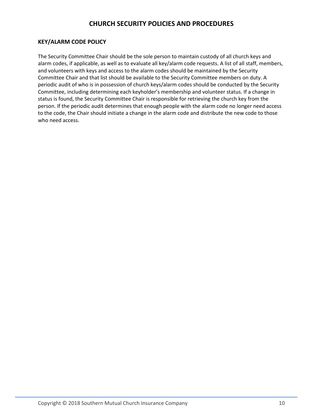#### **KEY/ALARM CODE POLICY**

The Security Committee Chair should be the sole person to maintain custody of all church keys and alarm codes, if applicable, as well as to evaluate all key/alarm code requests. A list of all staff, members, and volunteers with keys and access to the alarm codes should be maintained by the Security Committee Chair and that list should be available to the Security Committee members on duty. A periodic audit of who is in possession of church keys/alarm codes should be conducted by the Security Committee, including determining each keyholder's membership and volunteer status. If a change in status is found, the Security Committee Chair is responsible for retrieving the church key from the person. If the periodic audit determines that enough people with the alarm code no longer need access to the code, the Chair should initiate a change in the alarm code and distribute the new code to those who need access.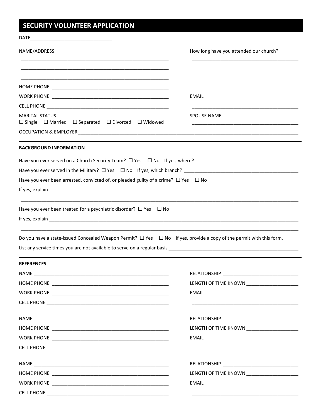## SECURITY VOLUNTEER APPLICATION

| NAME/ADDRESS                                                                                                                                                                                                                       | How long have you attended our church?        |
|------------------------------------------------------------------------------------------------------------------------------------------------------------------------------------------------------------------------------------|-----------------------------------------------|
|                                                                                                                                                                                                                                    |                                               |
|                                                                                                                                                                                                                                    |                                               |
|                                                                                                                                                                                                                                    | EMAIL                                         |
|                                                                                                                                                                                                                                    |                                               |
| <b>MARITAL STATUS</b><br>$\Box$ Single $\Box$ Married $\Box$ Separated $\Box$ Divorced $\Box$ Widowed                                                                                                                              | <b>SPOUSE NAME</b>                            |
|                                                                                                                                                                                                                                    |                                               |
| <b>BACKGROUND INFORMATION</b>                                                                                                                                                                                                      |                                               |
| Have you ever served on a Church Security Team? $\Box$ Yes $\Box$ No If yes, where? The Change Change Change Change Change Change Change Change Change Change Change Change Change Change Change Change Change Change Change Chang |                                               |
|                                                                                                                                                                                                                                    |                                               |
| Have you ever been arrested, convicted of, or pleaded guilty of a crime? $\Box$ Yes $\Box$ No                                                                                                                                      |                                               |
|                                                                                                                                                                                                                                    |                                               |
| Have you ever been treated for a psychiatric disorder? $\Box$ Yes $\Box$ No                                                                                                                                                        |                                               |
| Do you have a state-issued Concealed Weapon Permit? $\Box$ Yes $\Box$ No If yes, provide a copy of the permit with this form.                                                                                                      |                                               |
| <b>REFERENCES</b>                                                                                                                                                                                                                  |                                               |
|                                                                                                                                                                                                                                    |                                               |
|                                                                                                                                                                                                                                    |                                               |
|                                                                                                                                                                                                                                    | EMAIL                                         |
|                                                                                                                                                                                                                                    |                                               |
|                                                                                                                                                                                                                                    |                                               |
|                                                                                                                                                                                                                                    | LENGTH OF TIME KNOWN _______________________  |
|                                                                                                                                                                                                                                    | EMAIL                                         |
|                                                                                                                                                                                                                                    |                                               |
|                                                                                                                                                                                                                                    |                                               |
|                                                                                                                                                                                                                                    | LENGTH OF TIME KNOWN ________________________ |
|                                                                                                                                                                                                                                    | EMAIL                                         |
|                                                                                                                                                                                                                                    |                                               |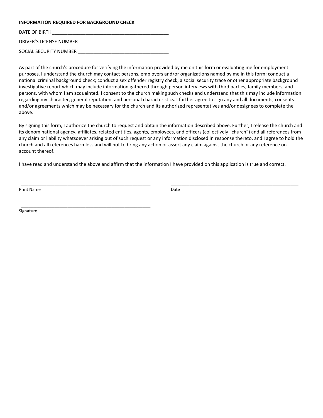#### **INFORMATION REQUIRED FOR BACKGROUND CHECK**

DATE OF BIRTH DRIVER'S LICENSE NUMBER \_\_\_\_\_\_\_\_\_\_\_\_\_\_\_\_\_\_\_\_\_\_\_\_\_\_\_\_\_\_\_\_\_\_ SOCIAL SECURITY NUMBER

\_\_\_\_\_\_\_\_\_\_\_\_\_\_\_\_\_\_\_\_\_\_\_\_\_\_\_\_\_\_\_\_\_\_\_\_\_\_\_\_\_\_\_\_\_\_\_\_\_\_

As part of the church's procedure for verifying the information provided by me on this form or evaluating me for employment purposes, I understand the church may contact persons, employers and/or organizations named by me in this form; conduct a national criminal background check; conduct a sex offender registry check; a social security trace or other appropriate background investigative report which may include information gathered through person interviews with third parties, family members, and persons, with whom I am acquainted. I consent to the church making such checks and understand that this may include information regarding my character, general reputation, and personal characteristics. I further agree to sign any and all documents, consents and/or agreements which may be necessary for the church and its authorized representatives and/or designees to complete the above.

By signing this form, I authorize the church to request and obtain the information described above. Further, I release the church and its denominational agency, affiliates, related entities, agents, employees, and officers (collectively "church") and all references from any claim or liability whatsoever arising out of such request or any information disclosed in response thereto, and I agree to hold the church and all references harmless and will not to bring any action or assert any claim against the church or any reference on account thereof.

I have read and understand the above and affirm that the information I have provided on this application is true and correct.

\_\_\_\_\_\_\_\_\_\_\_\_\_\_\_\_\_\_\_\_\_\_\_\_\_\_\_\_\_\_\_\_\_\_\_\_\_\_\_\_\_\_\_\_\_\_\_\_\_\_ \_\_\_\_\_\_\_\_\_\_\_\_\_\_\_\_\_\_\_\_\_\_\_\_\_\_\_\_\_\_\_\_\_\_\_\_\_\_\_\_\_\_\_\_\_\_\_\_\_

Print Name Date

Signature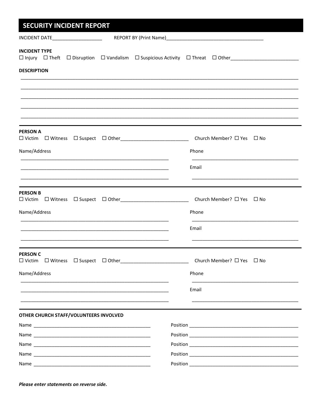| <b>SECURITY INCIDENT REPORT</b>                                                                                        |                                                                                                     |  |
|------------------------------------------------------------------------------------------------------------------------|-----------------------------------------------------------------------------------------------------|--|
| INCIDENT DATE____________________                                                                                      |                                                                                                     |  |
| <b>INCIDENT TYPE</b><br><b>DESCRIPTION</b>                                                                             | □ Injury □ Theft □ Disruption □ Vandalism □ Suspicious Activity □ Threat □ Other___________________ |  |
|                                                                                                                        |                                                                                                     |  |
|                                                                                                                        |                                                                                                     |  |
|                                                                                                                        |                                                                                                     |  |
| <b>PERSON A</b>                                                                                                        | Church Member? $\Box$ Yes $\Box$ No                                                                 |  |
| Name/Address                                                                                                           | Phone                                                                                               |  |
|                                                                                                                        | Email                                                                                               |  |
|                                                                                                                        |                                                                                                     |  |
| <b>PERSON B</b>                                                                                                        | Church Member? □ Yes □ No                                                                           |  |
| Name/Address                                                                                                           | Phone                                                                                               |  |
|                                                                                                                        | Email                                                                                               |  |
| <b>PERSON C</b>                                                                                                        |                                                                                                     |  |
|                                                                                                                        | Church Member? □ Yes □ No                                                                           |  |
| Name/Address<br><u> 1980 - Jan James James Sandarík (</u> † 1920)                                                      | Phone                                                                                               |  |
| <u> 1989 - Andrea San Andrea San Andrea San Andrea San Andrea San Andrea San Andrea San Andrea San Andrea San Andr</u> | Email                                                                                               |  |
| OTHER CHURCH STAFF/VOLUNTEERS INVOLVED                                                                                 |                                                                                                     |  |
|                                                                                                                        |                                                                                                     |  |
|                                                                                                                        |                                                                                                     |  |
|                                                                                                                        |                                                                                                     |  |
|                                                                                                                        |                                                                                                     |  |
|                                                                                                                        |                                                                                                     |  |

Please enter statements on reverse side.